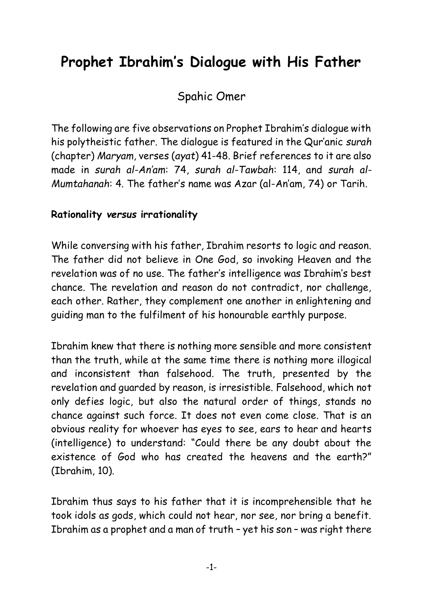# **Prophet Ibrahim's Dialogue with His Father**

Spahic Omer

The following are five observations on Prophet Ibrahim's dialogue with his polytheistic father. The dialogue is featured in the Qur'anic *surah* (chapter) *Maryam*, verses (*ayat*) 41-48. Brief references to it are also made in *surah al-An'am*: 74, *surah al-Tawbah*: 114, and *surah al-Mumtahanah*: 4. The father's name was Azar (al-An'am, 74) or Tarih.

### **Rationality** *versus* **irrationality**

While conversing with his father, Ibrahim resorts to logic and reason. The father did not believe in One God, so invoking Heaven and the revelation was of no use. The father's intelligence was Ibrahim's best chance. The revelation and reason do not contradict, nor challenge, each other. Rather, they complement one another in enlightening and guiding man to the fulfilment of his honourable earthly purpose.

Ibrahim knew that there is nothing more sensible and more consistent than the truth, while at the same time there is nothing more illogical and inconsistent than falsehood. The truth, presented by the revelation and guarded by reason, is irresistible. Falsehood, which not only defies logic, but also the natural order of things, stands no chance against such force. It does not even come close. That is an obvious reality for whoever has eyes to see, ears to hear and hearts (intelligence) to understand: "Could there be any doubt about the existence of God who has created the heavens and the earth?" (Ibrahim, 10).

Ibrahim thus says to his father that it is incomprehensible that he took idols as gods, which could not hear, nor see, nor bring a benefit. Ibrahim as a prophet and a man of truth – yet his son – was right there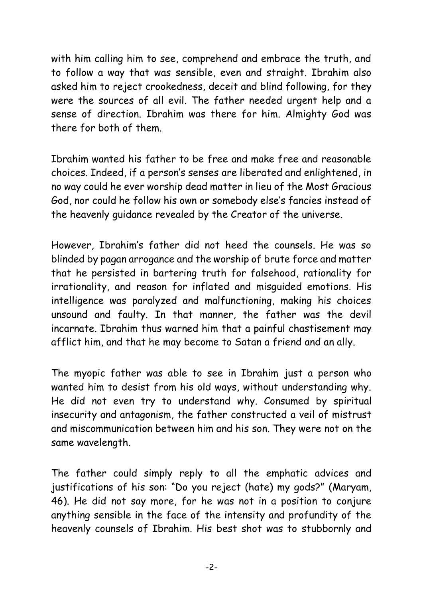with him calling him to see, comprehend and embrace the truth, and to follow a way that was sensible, even and straight. Ibrahim also asked him to reject crookedness, deceit and blind following, for they were the sources of all evil. The father needed urgent help and a sense of direction. Ibrahim was there for him. Almighty God was there for both of them.

Ibrahim wanted his father to be free and make free and reasonable choices. Indeed, if a person's senses are liberated and enlightened, in no way could he ever worship dead matter in lieu of the Most Gracious God, nor could he follow his own or somebody else's fancies instead of the heavenly guidance revealed by the Creator of the universe.

However, Ibrahim's father did not heed the counsels. He was so blinded by pagan arrogance and the worship of brute force and matter that he persisted in bartering truth for falsehood, rationality for irrationality, and reason for inflated and misguided emotions. His intelligence was paralyzed and malfunctioning, making his choices unsound and faulty. In that manner, the father was the devil incarnate. Ibrahim thus warned him that a painful chastisement may afflict him, and that he may become to Satan a friend and an ally.

The myopic father was able to see in Ibrahim just a person who wanted him to desist from his old ways, without understanding why. He did not even try to understand why. Consumed by spiritual insecurity and antagonism, the father constructed a veil of mistrust and miscommunication between him and his son. They were not on the same wavelength.

The father could simply reply to all the emphatic advices and justifications of his son: "Do you reject (hate) my gods?" (Maryam, 46). He did not say more, for he was not in a position to conjure anything sensible in the face of the intensity and profundity of the heavenly counsels of Ibrahim. His best shot was to stubbornly and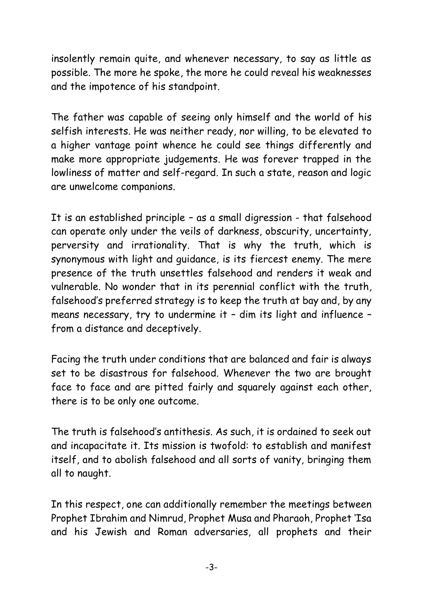insolently remain quite, and whenever necessary, to say as little as possible. The more he spoke, the more he could reveal his weaknesses and the impotence of his standpoint.

The father was capable of seeing only himself and the world of his selfish interests. He was neither ready, nor willing, to be elevated to a higher vantage point whence he could see things differently and make more appropriate judgements. He was forever trapped in the lowliness of matter and self-regard. In such a state, reason and logic are unwelcome companions.

It is an established principle – as a small digression - that falsehood can operate only under the veils of darkness, obscurity, uncertainty, perversity and irrationality. That is why the truth, which is synonymous with light and guidance, is its fiercest enemy. The mere presence of the truth unsettles falsehood and renders it weak and vulnerable. No wonder that in its perennial conflict with the truth, falsehood's preferred strategy is to keep the truth at bay and, by any means necessary, try to undermine it – dim its light and influence – from a distance and deceptively.

Facing the truth under conditions that are balanced and fair is always set to be disastrous for falsehood. Whenever the two are brought face to face and are pitted fairly and squarely against each other, there is to be only one outcome.

The truth is falsehood's antithesis. As such, it is ordained to seek out and incapacitate it. Its mission is twofold: to establish and manifest itself, and to abolish falsehood and all sorts of vanity, bringing them all to naught.

In this respect, one can additionally remember the meetings between Prophet Ibrahim and Nimrud, Prophet Musa and Pharaoh, Prophet 'Isa and his Jewish and Roman adversaries, all prophets and their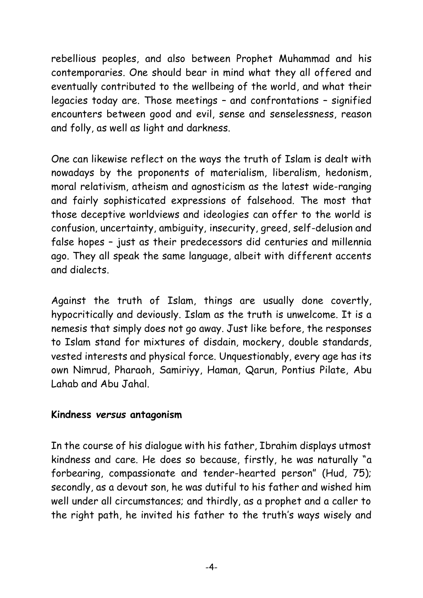rebellious peoples, and also between Prophet Muhammad and his contemporaries. One should bear in mind what they all offered and eventually contributed to the wellbeing of the world, and what their legacies today are. Those meetings – and confrontations – signified encounters between good and evil, sense and senselessness, reason and folly, as well as light and darkness.

One can likewise reflect on the ways the truth of Islam is dealt with nowadays by the proponents of materialism, liberalism, hedonism, moral relativism, atheism and agnosticism as the latest wide-ranging and fairly sophisticated expressions of falsehood. The most that those deceptive worldviews and ideologies can offer to the world is confusion, uncertainty, ambiguity, insecurity, greed, self-delusion and false hopes – just as their predecessors did centuries and millennia ago. They all speak the same language, albeit with different accents and dialects.

Against the truth of Islam, things are usually done covertly, hypocritically and deviously. Islam as the truth is unwelcome. It is a nemesis that simply does not go away. Just like before, the responses to Islam stand for mixtures of disdain, mockery, double standards, vested interests and physical force. Unquestionably, every age has its own Nimrud, Pharaoh, Samiriyy, Haman, Qarun, Pontius Pilate, Abu Lahab and Abu Jahal.

#### **Kindness** *versus* **antagonism**

In the course of his dialogue with his father, Ibrahim displays utmost kindness and care. He does so because, firstly, he was naturally "a forbearing, compassionate and tender-hearted person" (Hud, 75); secondly, as a devout son, he was dutiful to his father and wished him well under all circumstances; and thirdly, as a prophet and a caller to the right path, he invited his father to the truth's ways wisely and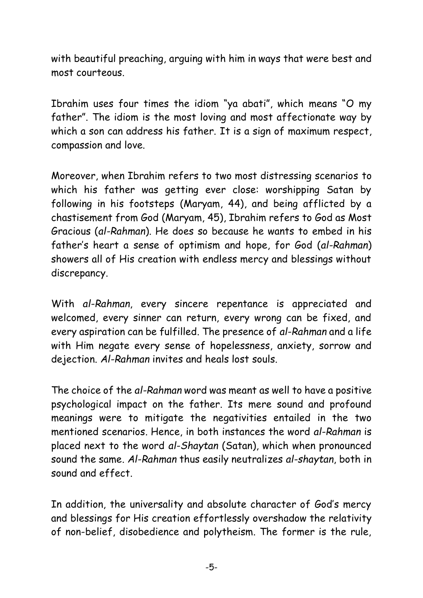with beautiful preaching, arguing with him in ways that were best and most courteous.

Ibrahim uses four times the idiom "ya abati", which means "O my father". The idiom is the most loving and most affectionate way by which a son can address his father. It is a sign of maximum respect, compassion and love.

Moreover, when Ibrahim refers to two most distressing scenarios to which his father was getting ever close: worshipping Satan by following in his footsteps (Maryam, 44), and being afflicted by a chastisement from God (Maryam, 45), Ibrahim refers to God as Most Gracious (*al-Rahman*). He does so because he wants to embed in his father's heart a sense of optimism and hope, for God (*al-Rahman*) showers all of His creation with endless mercy and blessings without discrepancy.

With *al-Rahman*, every sincere repentance is appreciated and welcomed, every sinner can return, every wrong can be fixed, and every aspiration can be fulfilled. The presence of *al-Rahman* and a life with Him negate every sense of hopelessness, anxiety, sorrow and dejection. *Al-Rahman* invites and heals lost souls.

The choice of the *al-Rahman* word was meant as well to have a positive psychological impact on the father. Its mere sound and profound meanings were to mitigate the negativities entailed in the two mentioned scenarios. Hence, in both instances the word *al-Rahman* is placed next to the word *al-Shaytan* (Satan), which when pronounced sound the same. *Al-Rahman* thus easily neutralizes *al-shaytan*, both in sound and effect.

In addition, the universality and absolute character of God's mercy and blessings for His creation effortlessly overshadow the relativity of non-belief, disobedience and polytheism. The former is the rule,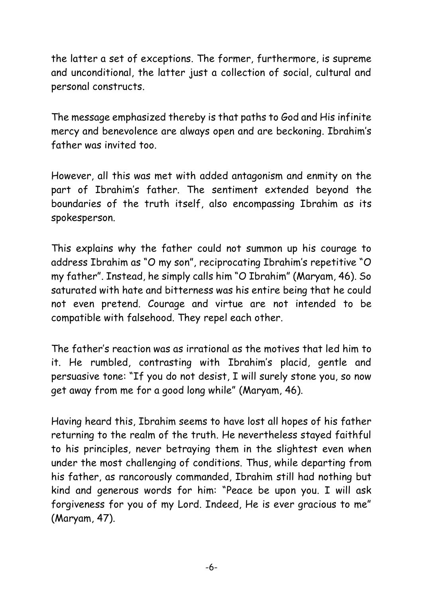the latter a set of exceptions. The former, furthermore, is supreme and unconditional, the latter just a collection of social, cultural and personal constructs.

The message emphasized thereby is that paths to God and His infinite mercy and benevolence are always open and are beckoning. Ibrahim's father was invited too.

However, all this was met with added antagonism and enmity on the part of Ibrahim's father. The sentiment extended beyond the boundaries of the truth itself, also encompassing Ibrahim as its spokesperson.

This explains why the father could not summon up his courage to address Ibrahim as "O my son", reciprocating Ibrahim's repetitive "O my father". Instead, he simply calls him "O Ibrahim" (Maryam, 46). So saturated with hate and bitterness was his entire being that he could not even pretend. Courage and virtue are not intended to be compatible with falsehood. They repel each other.

The father's reaction was as irrational as the motives that led him to it. He rumbled, contrasting with Ibrahim's placid, gentle and persuasive tone: "If you do not desist, I will surely stone you, so now get away from me for a good long while" (Maryam, 46).

Having heard this, Ibrahim seems to have lost all hopes of his father returning to the realm of the truth. He nevertheless stayed faithful to his principles, never betraying them in the slightest even when under the most challenging of conditions. Thus, while departing from his father, as rancorously commanded, Ibrahim still had nothing but kind and generous words for him: "Peace be upon you. I will ask forgiveness for you of my Lord. Indeed, He is ever gracious to me" (Maryam, 47).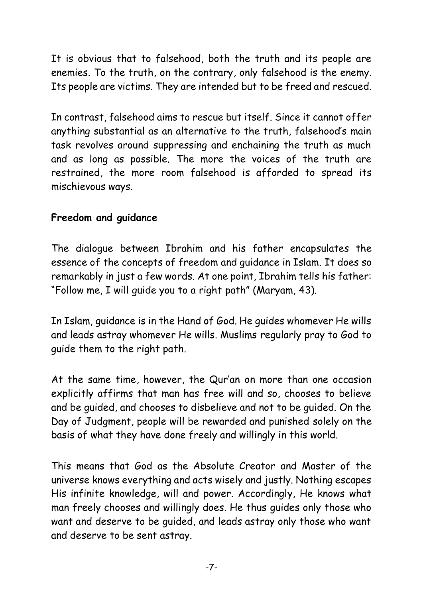It is obvious that to falsehood, both the truth and its people are enemies. To the truth, on the contrary, only falsehood is the enemy. Its people are victims. They are intended but to be freed and rescued.

In contrast, falsehood aims to rescue but itself. Since it cannot offer anything substantial as an alternative to the truth, falsehood's main task revolves around suppressing and enchaining the truth as much and as long as possible. The more the voices of the truth are restrained, the more room falsehood is afforded to spread its mischievous ways.

### **Freedom and guidance**

The dialogue between Ibrahim and his father encapsulates the essence of the concepts of freedom and guidance in Islam. It does so remarkably in just a few words. At one point, Ibrahim tells his father: "Follow me, I will guide you to a right path" (Maryam, 43).

In Islam, guidance is in the Hand of God. He guides whomever He wills and leads astray whomever He wills. Muslims regularly pray to God to guide them to the right path.

At the same time, however, the Qur'an on more than one occasion explicitly affirms that man has free will and so, chooses to believe and be guided, and chooses to disbelieve and not to be guided. On the Day of Judgment, people will be rewarded and punished solely on the basis of what they have done freely and willingly in this world.

This means that God as the Absolute Creator and Master of the universe knows everything and acts wisely and justly. Nothing escapes His infinite knowledge, will and power. Accordingly, He knows what man freely chooses and willingly does. He thus guides only those who want and deserve to be guided, and leads astray only those who want and deserve to be sent astray.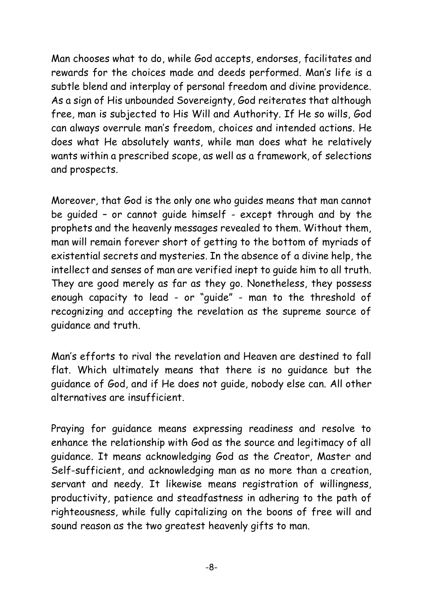Man chooses what to do, while God accepts, endorses, facilitates and rewards for the choices made and deeds performed. Man's life is a subtle blend and interplay of personal freedom and divine providence. As a sign of His unbounded Sovereignty, God reiterates that although free, man is subjected to His Will and Authority. If He so wills, God can always overrule man's freedom, choices and intended actions. He does what He absolutely wants, while man does what he relatively wants within a prescribed scope, as well as a framework, of selections and prospects.

Moreover, that God is the only one who guides means that man cannot be guided – or cannot guide himself - except through and by the prophets and the heavenly messages revealed to them. Without them, man will remain forever short of getting to the bottom of myriads of existential secrets and mysteries. In the absence of a divine help, the intellect and senses of man are verified inept to guide him to all truth. They are good merely as far as they go. Nonetheless, they possess enough capacity to lead - or "guide" - man to the threshold of recognizing and accepting the revelation as the supreme source of guidance and truth.

Man's efforts to rival the revelation and Heaven are destined to fall flat. Which ultimately means that there is no guidance but the guidance of God, and if He does not guide, nobody else can. All other alternatives are insufficient.

Praying for guidance means expressing readiness and resolve to enhance the relationship with God as the source and legitimacy of all guidance. It means acknowledging God as the Creator, Master and Self-sufficient, and acknowledging man as no more than a creation, servant and needy. It likewise means registration of willingness, productivity, patience and steadfastness in adhering to the path of righteousness, while fully capitalizing on the boons of free will and sound reason as the two greatest heavenly gifts to man.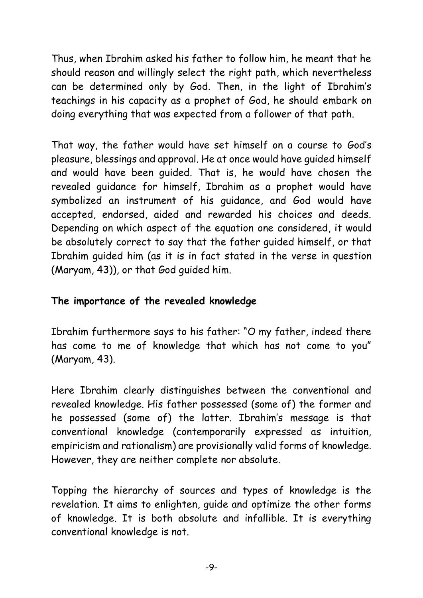Thus, when Ibrahim asked his father to follow him, he meant that he should reason and willingly select the right path, which nevertheless can be determined only by God. Then, in the light of Ibrahim's teachings in his capacity as a prophet of God, he should embark on doing everything that was expected from a follower of that path.

That way, the father would have set himself on a course to God's pleasure, blessings and approval. He at once would have guided himself and would have been guided. That is, he would have chosen the revealed guidance for himself, Ibrahim as a prophet would have symbolized an instrument of his guidance, and God would have accepted, endorsed, aided and rewarded his choices and deeds. Depending on which aspect of the equation one considered, it would be absolutely correct to say that the father guided himself, or that Ibrahim guided him (as it is in fact stated in the verse in question (Maryam, 43)), or that God guided him.

## **The importance of the revealed knowledge**

Ibrahim furthermore says to his father: "O my father, indeed there has come to me of knowledge that which has not come to you" (Maryam, 43).

Here Ibrahim clearly distinguishes between the conventional and revealed knowledge. His father possessed (some of) the former and he possessed (some of) the latter. Ibrahim's message is that conventional knowledge (contemporarily expressed as intuition, empiricism and rationalism) are provisionally valid forms of knowledge. However, they are neither complete nor absolute.

Topping the hierarchy of sources and types of knowledge is the revelation. It aims to enlighten, guide and optimize the other forms of knowledge. It is both absolute and infallible. It is everything conventional knowledge is not.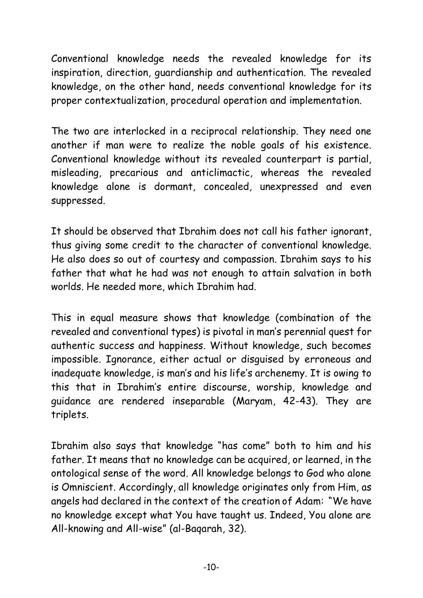Conventional knowledge needs the revealed knowledge for its inspiration, direction, guardianship and authentication. The revealed knowledge, on the other hand, needs conventional knowledge for its proper contextualization, procedural operation and implementation.

The two are interlocked in a reciprocal relationship. They need one another if man were to realize the noble goals of his existence. Conventional knowledge without its revealed counterpart is partial, misleading, precarious and anticlimactic, whereas the revealed knowledge alone is dormant, concealed, unexpressed and even suppressed.

It should be observed that Ibrahim does not call his father ignorant, thus giving some credit to the character of conventional knowledge. He also does so out of courtesy and compassion. Ibrahim says to his father that what he had was not enough to attain salvation in both worlds. He needed more, which Ibrahim had.

This in equal measure shows that knowledge (combination of the revealed and conventional types) is pivotal in man's perennial quest for authentic success and happiness. Without knowledge, such becomes impossible. Ignorance, either actual or disguised by erroneous and inadequate knowledge, is man's and his life's archenemy. It is owing to this that in Ibrahim's entire discourse, worship, knowledge and guidance are rendered inseparable (Maryam, 42-43). They are triplets.

Ibrahim also says that knowledge "has come" both to him and his father. It means that no knowledge can be acquired, or learned, in the ontological sense of the word. All knowledge belongs to God who alone is Omniscient. Accordingly, all knowledge originates only from Him, as angels had declared in the context of the creation of Adam: "We have no knowledge except what You have taught us. Indeed, You alone are All-knowing and All-wise" (al-Baqarah, 32).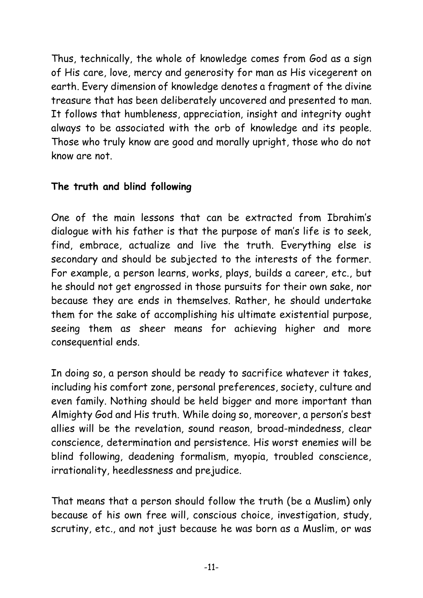Thus, technically, the whole of knowledge comes from God as a sign of His care, love, mercy and generosity for man as His vicegerent on earth. Every dimension of knowledge denotes a fragment of the divine treasure that has been deliberately uncovered and presented to man. It follows that humbleness, appreciation, insight and integrity ought always to be associated with the orb of knowledge and its people. Those who truly know are good and morally upright, those who do not know are not.

#### **The truth and blind following**

One of the main lessons that can be extracted from Ibrahim's dialogue with his father is that the purpose of man's life is to seek, find, embrace, actualize and live the truth. Everything else is secondary and should be subjected to the interests of the former. For example, a person learns, works, plays, builds a career, etc., but he should not get engrossed in those pursuits for their own sake, nor because they are ends in themselves. Rather, he should undertake them for the sake of accomplishing his ultimate existential purpose, seeing them as sheer means for achieving higher and more consequential ends.

In doing so, a person should be ready to sacrifice whatever it takes, including his comfort zone, personal preferences, society, culture and even family. Nothing should be held bigger and more important than Almighty God and His truth. While doing so, moreover, a person's best allies will be the revelation, sound reason, broad-mindedness, clear conscience, determination and persistence. His worst enemies will be blind following, deadening formalism, myopia, troubled conscience, irrationality, heedlessness and prejudice.

That means that a person should follow the truth (be a Muslim) only because of his own free will, conscious choice, investigation, study, scrutiny, etc., and not just because he was born as a Muslim, or was